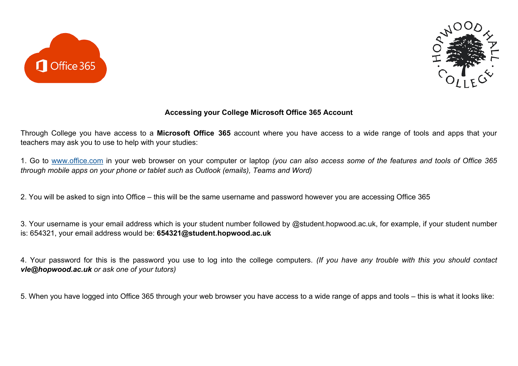



## **Accessing your College Microsoft Office 365 Account**

Through College you have access to a **Microsoft Office 365** account where you have access to a wide range of tools and apps that your teachers may ask you to use to help with your studies:

1. Go to [www.office.com](http://www.office.com) in your web browser on your computer or laptop *(you can also access some of the features and tools of Office 365 through mobile apps on your phone or tablet such as Outlook (emails), Teams and Word)*

2. You will be asked to sign into Office – this will be the same username and password however you are accessing Office 365

3. Your username is your email address which is your student number followed by @student.hopwood.ac.uk, for example, if your student number is: 654321, your email address would be: **654321@student.hopwood.ac.uk**

4. Your password for this is the password you use to log into the college computers. *(If you have any trouble with this you should contact vle@hopwood.ac.uk or ask one of your tutors)*

5. When you have logged into Office 365 through your web browser you have access to a wide range of apps and tools – this is what it looks like: